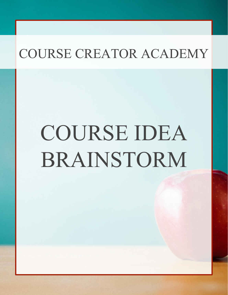# COURSE IDEA BRAINSTORM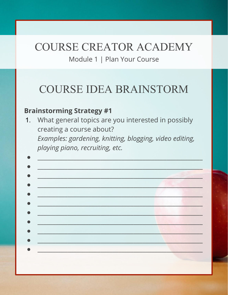Module 1 | Plan Your Course

#### **COURSE IDEA BRAINSTORM**

#### **Brainstorming Strategy #1**

What general topics are you interested in possibly  $1.$ creating a course about? Examples: gardening, knitting, blogging, video editing, playing piano, recruiting, etc.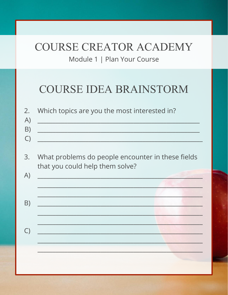#### COURSE CREATOR ACADEMY Module 1 | Plan Your Course

#### **COURSE IDEA BRAINSTORM**

| 2.<br>A)<br>B)<br>$\bigcirc$ | Which topics are you the most interested in?                                         |
|------------------------------|--------------------------------------------------------------------------------------|
| 3.<br>A)                     | What problems do people encounter in these fields<br>that you could help them solve? |
| B)                           |                                                                                      |
| $\bigcirc$                   |                                                                                      |
|                              |                                                                                      |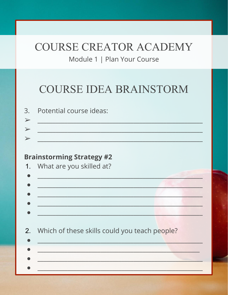Module 1 | Plan Your Course

#### **COURSE IDEA BRAINSTORM**

| 3. Potential course ideas: |
|----------------------------|
|                            |
|                            |
|                            |

#### **Brainstorming Strategy #2**

| 1. What are you skilled at?                                                        |  |
|------------------------------------------------------------------------------------|--|
|                                                                                    |  |
|                                                                                    |  |
|                                                                                    |  |
| 2. Which of these skills could you teach people?<br>그 지수는 그는 그는 그만 아니라 그는 사람이 없었다. |  |
|                                                                                    |  |
|                                                                                    |  |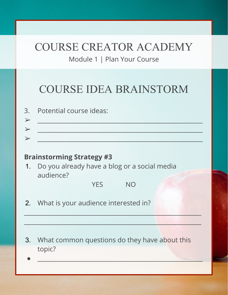Module 1 | Plan Your Course

## COURSE IDEA BRAINSTORM

| 3. Potential course ideas: |
|----------------------------|
|                            |
|                            |
|                            |

#### **Brainstorming Strategy #3**

1. Do you already have a blog or a social media audience?

YFS NO

 $\mathcal{L}_\mathcal{L}$  , and the set of the set of the set of the set of the set of the set of the set of the set of the set of the set of the set of the set of the set of the set of the set of the set of the set of the set of th

\_\_\_\_\_\_\_\_\_\_\_\_\_\_\_\_\_\_\_\_\_\_\_\_\_\_\_\_\_\_\_\_\_\_\_\_\_\_\_\_\_\_\_\_\_\_\_\_\_\_\_\_\_\_\_\_\_\_\_

- 2. What is your audience interested in?
- 3. What common questions do they have about this topic?
- $\bullet$  . The contract of the contract of the contract of the contract of the contract of the contract of the contract of the contract of the contract of the contract of the contract of the contract of the contract of the co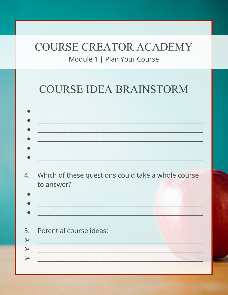Module 1 | Plan Your Course

#### **COURSE IDEA BRAINSTORM**

| to answer? | Which of these questions could take a whole course |  |  |
|------------|----------------------------------------------------|--|--|
|            |                                                    |  |  |
|            | Potential course ideas:                            |  |  |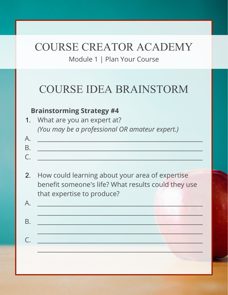Module 1 | Plan Your Course

#### COURSE IDEA BRAINSTORM

#### **Brainstorming Strategy #4**

- 1. What are you an expert at? *(You may be a professional OR amateur expert.)*
- A. \_\_\_\_\_\_\_\_\_\_\_\_\_\_\_\_\_\_\_\_\_\_\_\_\_\_\_\_\_\_\_\_\_\_\_\_\_\_\_\_\_\_\_\_\_\_\_\_\_\_\_\_\_\_\_ B. \_\_\_\_\_\_\_\_\_\_\_\_\_\_\_\_\_\_\_\_\_\_\_\_\_\_\_\_\_\_\_\_\_\_\_\_\_\_\_\_\_\_\_\_\_\_\_\_\_\_\_\_\_\_\_ C. \_\_\_\_\_\_\_\_\_\_\_\_\_\_\_\_\_\_\_\_\_\_\_\_\_\_\_\_\_\_\_\_\_\_\_\_\_\_\_\_\_\_\_\_\_\_\_\_\_\_\_\_\_\_\_
- 2. How could learning about your area of expertise benefit someone's life? What results could they use that expertise to produce?

| A. | and the control of the control of the control of the control of the control of the control of the control of the control of the control of the control of the control of the control of the control of the control of the cont |  |
|----|--------------------------------------------------------------------------------------------------------------------------------------------------------------------------------------------------------------------------------|--|
| B  |                                                                                                                                                                                                                                |  |
|    | <u> 대한 대한 대한 대한 대학 대학 대학 대학 대학 대학 대학 대학 대학 대학</u>                                                                                                                                                                              |  |
|    |                                                                                                                                                                                                                                |  |